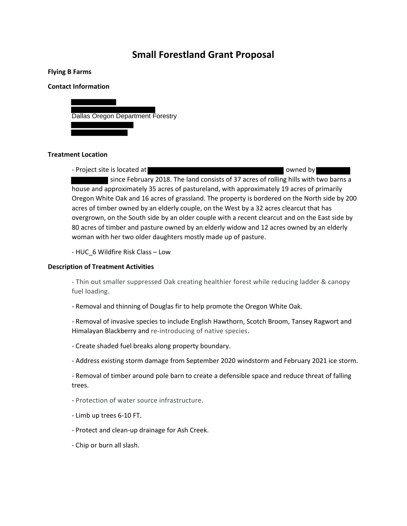# **Small Forestland Grant Proposal**

#### **Flying B Farms**

#### **Contact Information**



#### **Treatment Location**

- Project site is located at  $\blacksquare$ since February 2018. The land consists of 37 acres of rolling hills with two barns a house and approximately 35 acres of pastureland, with approximately 19 acres of primarily Oregon White Oak and 16 acres of grassland. The property is bordered on the North side by 200 acres of timber owned by an elderly couple, on the West by a 32 acres clearcut that has overgrown, on the South side by an older couple with a recent clearcut and on the East side by 80 acres of timber and pasture owned by an elderly widow and 12 acres owned by an elderly woman with her two older daughters mostly made up of pasture.

- HUC\_6 Wildfire Risk Class – Low

#### **Description of Treatment Activities**

- Thin out smaller suppressed Oak creating healthier forest while reducing ladder & canopy fuel loading.

- Removal and thinning of Douglas fir to help promote the Oregon White Oak.

- Removal of invasive species to include English Hawthorn, Scotch Broom, Tansey Ragwort and Himalayan Blackberry and re-introducing of native species.

- Create shaded fuel breaks along property boundary.
- Address existing storm damage from September 2020 windstorm and February 2021 ice storm.

- Removal of timber around pole barn to create a defensible space and reduce threat of falling trees.

- Protection of water source infrastructure.
- Limb up trees 6-10 FT.
- Protect and clean-up drainage for Ash Creek.
- Chip or burn all slash.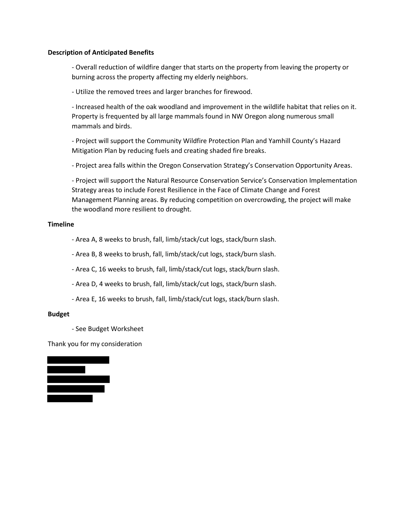#### **Description of Anticipated Benefits**

- Overall reduction of wildfire danger that starts on the property from leaving the property or burning across the property affecting my elderly neighbors.

- Utilize the removed trees and larger branches for firewood.

- Increased health of the oak woodland and improvement in the wildlife habitat that relies on it. Property is frequented by all large mammals found in NW Oregon along numerous small mammals and birds.

- Project will support the Community Wildfire Protection Plan and Yamhill County's Hazard Mitigation Plan by reducing fuels and creating shaded fire breaks.

- Project area falls within the Oregon Conservation Strategy's Conservation Opportunity Areas.

- Project will support the Natural Resource Conservation Service's Conservation Implementation Strategy areas to include Forest Resilience in the Face of Climate Change and Forest Management Planning areas. By reducing competition on overcrowding, the project will make the woodland more resilient to drought.

### **Timeline**

- Area A, 8 weeks to brush, fall, limb/stack/cut logs, stack/burn slash.

- Area B, 8 weeks to brush, fall, limb/stack/cut logs, stack/burn slash.

- Area C, 16 weeks to brush, fall, limb/stack/cut logs, stack/burn slash.

- Area D, 4 weeks to brush, fall, limb/stack/cut logs, stack/burn slash.

- Area E, 16 weeks to brush, fall, limb/stack/cut logs, stack/burn slash.

## **Budget**

- See Budget Worksheet

Thank you for my consideration

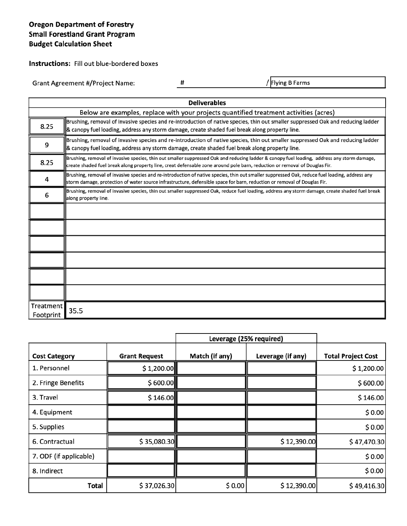# **Oregon Department of Forestry Small Forestland Grant Program Budget Calculation Sheet**

Instructions: Fill out blue-bordered boxes

**Grant Agreement #/Project Name:** 

 $\#$ 

/Flying B Farms

|                        | <b>Deliverables</b>                                                                                                                                                                                                                                                        |  |  |  |  |  |
|------------------------|----------------------------------------------------------------------------------------------------------------------------------------------------------------------------------------------------------------------------------------------------------------------------|--|--|--|--|--|
|                        | Below are examples, replace with your projects quantified treatment activities (acres)                                                                                                                                                                                     |  |  |  |  |  |
| 8.25                   | Brushing, removal of invasive species and re-introduction of native species, thin out smaller suppressed Oak and reducing ladder<br>& canopy fuel loading, address any storm damage, create shaded fuel break along property line.                                         |  |  |  |  |  |
| 9                      | Brushing, removal of invasive species and re-introduction of native species, thin out smaller suppressed Oak and reducing ladder<br>& canopy fuel loading, address any storm damage, create shaded fuel break along property line.                                         |  |  |  |  |  |
| 8.25                   | Brushing, removal of invasive species, thin out smaller suppressed Oak and reducing ladder & canopy fuel loading, address any storm damage,<br>create shaded fuel break along property line, creat defensable zone around pole barn, reduction or removal of Douglas Fir.  |  |  |  |  |  |
| 4                      | Brushing, removal of invasive species and re-introduction of native species, thin out smaller suppressed Oak, reduce fuel loading, address any<br>storm damage, protection of water source infrastructure, defensible space for barn, reduction or removal of Douglas Fir. |  |  |  |  |  |
| 6                      | Brushing, removal of invasive species, thin out smaller suppressed Oak, reduce fuel loading, address any storm damage, create shaded fuel break<br>along property line.                                                                                                    |  |  |  |  |  |
|                        |                                                                                                                                                                                                                                                                            |  |  |  |  |  |
|                        |                                                                                                                                                                                                                                                                            |  |  |  |  |  |
|                        |                                                                                                                                                                                                                                                                            |  |  |  |  |  |
|                        |                                                                                                                                                                                                                                                                            |  |  |  |  |  |
|                        |                                                                                                                                                                                                                                                                            |  |  |  |  |  |
|                        |                                                                                                                                                                                                                                                                            |  |  |  |  |  |
| Treatment<br>Footprint | 35.5                                                                                                                                                                                                                                                                       |  |  |  |  |  |

|                        | Leverage (25% required) |                |                   |                           |
|------------------------|-------------------------|----------------|-------------------|---------------------------|
| <b>Cost Category</b>   | <b>Grant Request</b>    | Match (if any) | Leverage (if any) | <b>Total Project Cost</b> |
| 1. Personnel           | \$1,200.00              |                |                   | \$1,200.00                |
| 2. Fringe Benefits     | \$600.00]               |                |                   | \$600.00                  |
| 3. Travel              | \$146.00                |                |                   | \$146.00                  |
| 4. Equipment           |                         |                |                   | \$0.00                    |
| 5. Supplies            |                         |                |                   | \$0.00                    |
| 6. Contractual         | \$35,080.30             |                | \$12,390.00       | \$47,470.30               |
| 7. ODF (if applicable) |                         |                |                   | \$0.00                    |
| 8. Indirect            |                         |                |                   | \$0.00                    |
| Total                  | \$37,026.30             | \$0.00         | \$12,390.00       | \$49,416.30               |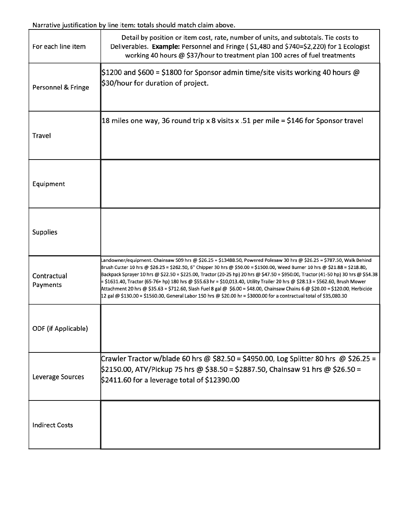Narrative justification by line item: totals should match claim above.

| For each line item      | Detail by position or item cost, rate, number of units, and subtotals. Tie costs to<br>Deliverables. Example: Personnel and Fringe (\$1,480 and \$740=\$2,220) for 1 Ecologist<br>working 40 hours @ \$37/hour to treatment plan 100 acres of fuel treatments                                                                                                                                                                                                                                                                                                                                                                                                                                                                                                                         |
|-------------------------|---------------------------------------------------------------------------------------------------------------------------------------------------------------------------------------------------------------------------------------------------------------------------------------------------------------------------------------------------------------------------------------------------------------------------------------------------------------------------------------------------------------------------------------------------------------------------------------------------------------------------------------------------------------------------------------------------------------------------------------------------------------------------------------|
| Personnel & Fringe      | $ \$1200$ and $\$600$ = $\$1800$ for Sponsor admin time/site visits working 40 hours @<br>\$30/hour for duration of project.                                                                                                                                                                                                                                                                                                                                                                                                                                                                                                                                                                                                                                                          |
| <b>Travel</b>           | 18 miles one way, 36 round trip x 8 visits x .51 per mile = \$146 for Sponsor travel                                                                                                                                                                                                                                                                                                                                                                                                                                                                                                                                                                                                                                                                                                  |
| Equipment               |                                                                                                                                                                                                                                                                                                                                                                                                                                                                                                                                                                                                                                                                                                                                                                                       |
| Supplies                |                                                                                                                                                                                                                                                                                                                                                                                                                                                                                                                                                                                                                                                                                                                                                                                       |
| Contractual<br>Payments | Landowner/equipment. Chainsaw 509 hrs @ \$26.25 = \$13488.50, Powered Polesaw 30 hrs @ \$26.25 = \$787.50, Walk Behind<br>Brush Cutter 10 hrs @ \$26.25 = \$262.50, 6" Chipper 30 hrs @ \$50.00 = \$1500.00, Weed Burner 10 hrs @ \$21.88 = \$218.80,<br>Backpack Sprayer 10 hrs @ \$22.50 = \$225.00, Tractor (20-25 hp) 20 hrs @ \$47.50 = \$950.00, Tractor (41-50 hp) 30 hrs @ \$54.38<br>= \$1631.40, Tractor (65-76+ hp) 180 hrs @ \$55.63 hr = \$10,013.40, Utility Trailer 20 hrs @ \$28.13 = \$562.60, Brush Mower<br>Attachment 20 hrs @ \$35.63 = \$712.60, Slash Fuel 8 gal @ \$6.00 = \$48.00, Chainsaw Chains 6 @ \$20.00 = \$120.00, Herbicide<br>12 gal @ \$130.00 = \$1560.00, General Labor 150 hrs @ \$20.00 hr = \$3000.00 for a contractual total of \$35,080.30 |
| ODF (if Applicable)     |                                                                                                                                                                                                                                                                                                                                                                                                                                                                                                                                                                                                                                                                                                                                                                                       |
| Leverage Sources        | Crawler Tractor w/blade 60 hrs @ \$82.50 = \$4950.00, Log Splitter 80 hrs @ \$26.25 =<br>\$2150.00, ATV/Pickup 75 hrs @ \$38.50 = \$2887.50, Chainsaw 91 hrs @ \$26.50 =<br>$$2411.60$ for a leverage total of $$12390.00$                                                                                                                                                                                                                                                                                                                                                                                                                                                                                                                                                            |
| <b>Indirect Costs</b>   |                                                                                                                                                                                                                                                                                                                                                                                                                                                                                                                                                                                                                                                                                                                                                                                       |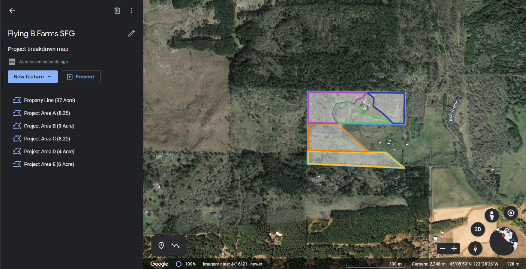

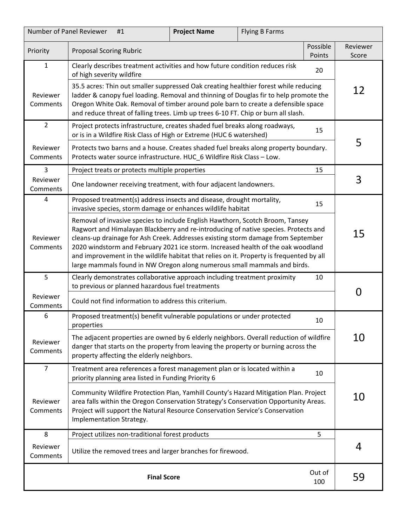| Number of Panel Reviewer<br><b>Project Name</b><br><b>Flying B Farms</b><br>#1 |                                                                                                                                                                                                                                                                                                                                                                                                                                                                                                                      |  |  |    |                   |
|--------------------------------------------------------------------------------|----------------------------------------------------------------------------------------------------------------------------------------------------------------------------------------------------------------------------------------------------------------------------------------------------------------------------------------------------------------------------------------------------------------------------------------------------------------------------------------------------------------------|--|--|----|-------------------|
| Priority                                                                       | Possible<br><b>Proposal Scoring Rubric</b><br>Points                                                                                                                                                                                                                                                                                                                                                                                                                                                                 |  |  |    | Reviewer<br>Score |
| $\mathbf{1}$                                                                   | Clearly describes treatment activities and how future condition reduces risk<br>20<br>of high severity wildfire                                                                                                                                                                                                                                                                                                                                                                                                      |  |  |    |                   |
| Reviewer<br>Comments                                                           | 35.5 acres: Thin out smaller suppressed Oak creating healthier forest while reducing<br>ladder & canopy fuel loading. Removal and thinning of Douglas fir to help promote the<br>Oregon White Oak. Removal of timber around pole barn to create a defensible space<br>and reduce threat of falling trees. Limb up trees 6-10 FT. Chip or burn all slash.                                                                                                                                                             |  |  |    | 12                |
| $\overline{2}$                                                                 | Project protects infrastructure, creates shaded fuel breaks along roadways,<br>or is in a Wildfire Risk Class of High or Extreme (HUC 6 watershed)                                                                                                                                                                                                                                                                                                                                                                   |  |  | 15 |                   |
| Reviewer<br>Comments                                                           | Protects two barns and a house. Creates shaded fuel breaks along property boundary.<br>Protects water source infrastructure. HUC_6 Wildfire Risk Class - Low.                                                                                                                                                                                                                                                                                                                                                        |  |  |    | 5                 |
| 3                                                                              | Project treats or protects multiple properties                                                                                                                                                                                                                                                                                                                                                                                                                                                                       |  |  | 15 |                   |
| Reviewer<br>Comments                                                           | One landowner receiving treatment, with four adjacent landowners.                                                                                                                                                                                                                                                                                                                                                                                                                                                    |  |  |    | 3                 |
| 4                                                                              | Proposed treatment(s) address insects and disease, drought mortality,<br>invasive species, storm damage or enhances wildlife habitat                                                                                                                                                                                                                                                                                                                                                                                 |  |  | 15 |                   |
| Reviewer<br>Comments                                                           | Removal of invasive species to include English Hawthorn, Scotch Broom, Tansey<br>Ragwort and Himalayan Blackberry and re-introducing of native species. Protects and<br>cleans-up drainage for Ash Creek. Addresses existing storm damage from September<br>2020 windstorm and February 2021 ice storm. Increased health of the oak woodland<br>and improvement in the wildlife habitat that relies on it. Property is frequented by all<br>large mammals found in NW Oregon along numerous small mammals and birds. |  |  |    | 15                |
| 5                                                                              | Clearly demonstrates collaborative approach including treatment proximity<br>to previous or planned hazardous fuel treatments                                                                                                                                                                                                                                                                                                                                                                                        |  |  | 10 | 0                 |
| Reviewer<br>Comments                                                           | Could not find information to address this criterium.                                                                                                                                                                                                                                                                                                                                                                                                                                                                |  |  |    |                   |
| 6                                                                              | Proposed treatment(s) benefit vulnerable populations or under protected<br>properties                                                                                                                                                                                                                                                                                                                                                                                                                                |  |  | 10 |                   |
| Reviewer<br>Comments                                                           | The adjacent properties are owned by 6 elderly neighbors. Overall reduction of wildfire<br>danger that starts on the property from leaving the property or burning across the<br>property affecting the elderly neighbors.                                                                                                                                                                                                                                                                                           |  |  |    | 10                |
| $\overline{7}$                                                                 | Treatment area references a forest management plan or is located within a<br>priority planning area listed in Funding Priority 6                                                                                                                                                                                                                                                                                                                                                                                     |  |  | 10 |                   |
| Reviewer<br>Comments                                                           | Community Wildfire Protection Plan, Yamhill County's Hazard Mitigation Plan. Project<br>area falls within the Oregon Conservation Strategy's Conservation Opportunity Areas.<br>Project will support the Natural Resource Conservation Service's Conservation<br>Implementation Strategy.                                                                                                                                                                                                                            |  |  |    | 10                |
| 8                                                                              | Project utilizes non-traditional forest products<br>5                                                                                                                                                                                                                                                                                                                                                                                                                                                                |  |  |    |                   |
| Reviewer<br>Comments                                                           | Utilize the removed trees and larger branches for firewood.                                                                                                                                                                                                                                                                                                                                                                                                                                                          |  |  |    | 4                 |
|                                                                                | Out of<br><b>Final Score</b><br>100                                                                                                                                                                                                                                                                                                                                                                                                                                                                                  |  |  |    |                   |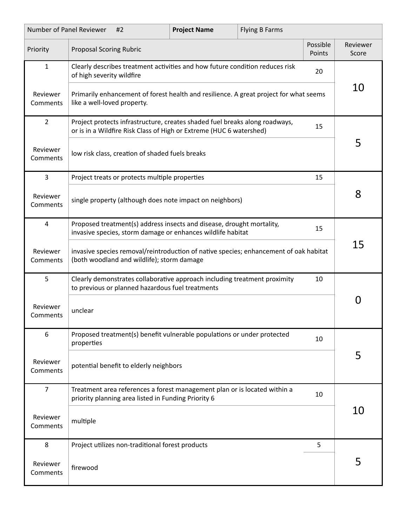| Number of Panel Reviewer<br><b>Project Name</b><br><b>Flying B Farms</b><br>#2 |                                                                                                                                                          |                                                     |                                                                                                                                      |                   |    |     |
|--------------------------------------------------------------------------------|----------------------------------------------------------------------------------------------------------------------------------------------------------|-----------------------------------------------------|--------------------------------------------------------------------------------------------------------------------------------------|-------------------|----|-----|
| Priority                                                                       | Possible<br><b>Proposal Scoring Rubric</b><br>Points                                                                                                     |                                                     |                                                                                                                                      | Reviewer<br>Score |    |     |
| 1                                                                              | Clearly describes treatment activities and how future condition reduces risk<br>20<br>of high severity wildfire                                          |                                                     |                                                                                                                                      |                   |    |     |
| Reviewer<br>Comments                                                           | Primarily enhancement of forest health and resilience. A great project for what seems<br>like a well-loved property.                                     |                                                     |                                                                                                                                      | 10                |    |     |
| $\overline{2}$                                                                 | Project protects infrastructure, creates shaded fuel breaks along roadways,<br>15<br>or is in a Wildfire Risk Class of High or Extreme (HUC 6 watershed) |                                                     |                                                                                                                                      |                   |    |     |
| Reviewer<br>Comments                                                           |                                                                                                                                                          | low risk class, creation of shaded fuels breaks     |                                                                                                                                      |                   |    | 5   |
| 3                                                                              |                                                                                                                                                          | Project treats or protects multiple properties      |                                                                                                                                      |                   | 15 |     |
| Reviewer<br>Comments                                                           |                                                                                                                                                          |                                                     | single property (although does note impact on neighbors)                                                                             |                   |    | 8   |
| $\overline{4}$                                                                 |                                                                                                                                                          |                                                     | Proposed treatment(s) address insects and disease, drought mortality,<br>invasive species, storm damage or enhances wildlife habitat |                   | 15 |     |
| Reviewer<br>Comments                                                           | invasive species removal/reintroduction of native species; enhancement of oak habitat<br>(both woodland and wildlife); storm damage                      |                                                     |                                                                                                                                      |                   | 15 |     |
| 5                                                                              |                                                                                                                                                          | to previous or planned hazardous fuel treatments    | Clearly demonstrates collaborative approach including treatment proximity                                                            |                   | 10 |     |
| Reviewer<br>Comments                                                           | unclear                                                                                                                                                  |                                                     |                                                                                                                                      |                   |    | ( ) |
| 6                                                                              | properties                                                                                                                                               |                                                     | Proposed treatment(s) benefit vulnerable populations or under protected                                                              |                   | 10 |     |
| Reviewer<br>Comments                                                           | potential benefit to elderly neighbors                                                                                                                   |                                                     |                                                                                                                                      |                   | 5  |     |
| $\overline{7}$                                                                 |                                                                                                                                                          | priority planning area listed in Funding Priority 6 | Treatment area references a forest management plan or is located within a                                                            |                   | 10 |     |
| Reviewer<br>Comments                                                           | multiple                                                                                                                                                 |                                                     |                                                                                                                                      |                   |    | 10  |
| 8                                                                              | Project utilizes non-traditional forest products<br>5                                                                                                    |                                                     |                                                                                                                                      |                   |    |     |
| Reviewer<br>Comments                                                           | firewood                                                                                                                                                 |                                                     |                                                                                                                                      |                   |    | 5   |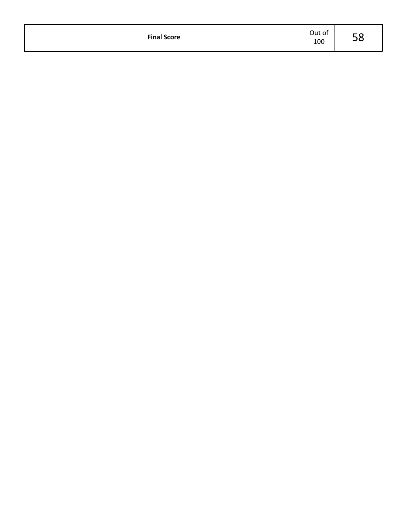| <b>Final Score</b> | Out of<br>100 | -<br>Ju |
|--------------------|---------------|---------|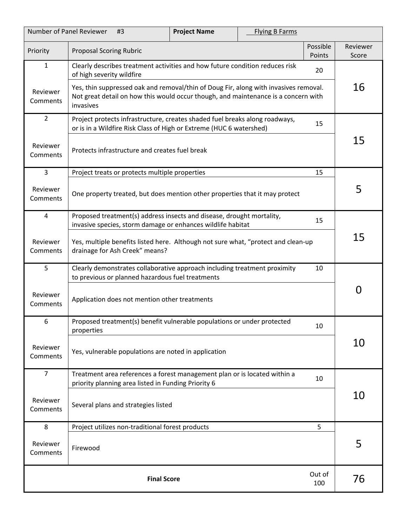| Number of Panel Reviewer<br><b>Project Name</b><br>#3 |                                                                                                                                                                                         | <b>Flying B Farms</b> |          |                   |    |
|-------------------------------------------------------|-----------------------------------------------------------------------------------------------------------------------------------------------------------------------------------------|-----------------------|----------|-------------------|----|
| Priority                                              | <b>Proposal Scoring Rubric</b><br>Points                                                                                                                                                |                       | Possible | Reviewer<br>Score |    |
| $\mathbf{1}$                                          | Clearly describes treatment activities and how future condition reduces risk<br>20<br>of high severity wildfire                                                                         |                       |          |                   |    |
| Reviewer<br>Comments                                  | Yes, thin suppressed oak and removal/thin of Doug Fir, along with invasives removal.<br>Not great detail on how this would occur though, and maintenance is a concern with<br>invasives |                       |          | 16                |    |
| $\overline{2}$                                        | Project protects infrastructure, creates shaded fuel breaks along roadways,<br>or is in a Wildfire Risk Class of High or Extreme (HUC 6 watershed)                                      |                       |          | 15                |    |
| Reviewer<br>Comments                                  | Protects infrastructure and creates fuel break                                                                                                                                          |                       |          |                   | 15 |
| 3                                                     | Project treats or protects multiple properties                                                                                                                                          |                       |          | 15                |    |
| Reviewer<br>Comments                                  | One property treated, but does mention other properties that it may protect                                                                                                             |                       |          |                   | 5  |
| 4                                                     | Proposed treatment(s) address insects and disease, drought mortality,<br>invasive species, storm damage or enhances wildlife habitat                                                    |                       |          | 15                |    |
| Reviewer<br>Comments                                  | Yes, multiple benefits listed here. Although not sure what, "protect and clean-up<br>drainage for Ash Creek" means?                                                                     |                       |          |                   | 15 |
| 5                                                     | Clearly demonstrates collaborative approach including treatment proximity<br>10<br>to previous or planned hazardous fuel treatments                                                     |                       |          |                   |    |
| Reviewer<br>Comments                                  | Application does not mention other treatments                                                                                                                                           |                       |          | 0                 |    |
| 6                                                     | Proposed treatment(s) benefit vulnerable populations or under protected<br>properties                                                                                                   |                       |          | 10                |    |
| Reviewer<br>Comments                                  | Yes, vulnerable populations are noted in application                                                                                                                                    |                       |          | 10                |    |
| $\overline{7}$                                        | Treatment area references a forest management plan or is located within a<br>10<br>priority planning area listed in Funding Priority 6                                                  |                       |          |                   |    |
| Reviewer<br>Comments                                  | Several plans and strategies listed                                                                                                                                                     |                       |          |                   | 10 |
| 8                                                     | Project utilizes non-traditional forest products                                                                                                                                        |                       |          | 5                 |    |
| Reviewer<br>Comments                                  | Firewood                                                                                                                                                                                |                       |          | 5                 |    |
|                                                       | Out of<br><b>Final Score</b><br>100                                                                                                                                                     |                       |          |                   |    |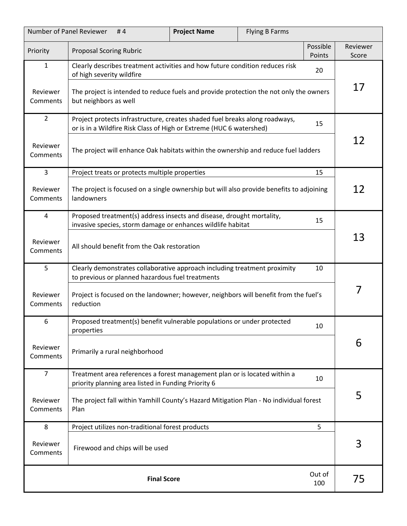| Number of Panel Reviewer<br>#4 |                                                                                                                                                    | <b>Project Name</b> | <b>Flying B Farms</b> |                    |                   |
|--------------------------------|----------------------------------------------------------------------------------------------------------------------------------------------------|---------------------|-----------------------|--------------------|-------------------|
| Priority                       | <b>Proposal Scoring Rubric</b>                                                                                                                     |                     |                       | Possible<br>Points | Reviewer<br>Score |
| $\mathbf{1}$                   | Clearly describes treatment activities and how future condition reduces risk<br>20<br>of high severity wildfire                                    |                     |                       |                    |                   |
| Reviewer<br>Comments           | The project is intended to reduce fuels and provide protection the not only the owners<br>but neighbors as well                                    |                     |                       | 17                 |                   |
| $\overline{2}$                 | Project protects infrastructure, creates shaded fuel breaks along roadways,<br>or is in a Wildfire Risk Class of High or Extreme (HUC 6 watershed) |                     |                       | 15                 |                   |
| Reviewer<br>Comments           | The project will enhance Oak habitats within the ownership and reduce fuel ladders                                                                 |                     |                       |                    | 12                |
| 3                              | Project treats or protects multiple properties                                                                                                     |                     |                       | 15                 |                   |
| Reviewer<br>Comments           | The project is focused on a single ownership but will also provide benefits to adjoining<br>landowners                                             |                     |                       |                    | 12                |
| $\overline{4}$                 | Proposed treatment(s) address insects and disease, drought mortality,<br>invasive species, storm damage or enhances wildlife habitat               |                     |                       | 15                 |                   |
| Reviewer<br>Comments           | All should benefit from the Oak restoration                                                                                                        |                     |                       |                    | 13                |
| 5                              | Clearly demonstrates collaborative approach including treatment proximity<br>10<br>to previous or planned hazardous fuel treatments                |                     |                       |                    |                   |
| Reviewer<br>Comments           | Project is focused on the landowner; however, neighbors will benefit from the fuel's<br>reduction                                                  |                     |                       |                    | 7                 |
| 6                              | Proposed treatment(s) benefit vulnerable populations or under protected<br>properties                                                              |                     |                       | 10                 |                   |
| Reviewer<br>Comments           | Primarily a rural neighborhood                                                                                                                     |                     |                       |                    | 6                 |
| $\overline{7}$                 | Treatment area references a forest management plan or is located within a<br>10<br>priority planning area listed in Funding Priority 6             |                     |                       |                    |                   |
| Reviewer<br>Comments           | The project fall within Yamhill County's Hazard Mitigation Plan - No individual forest<br>Plan                                                     |                     |                       |                    | 5                 |
| 8                              | Project utilizes non-traditional forest products<br>5                                                                                              |                     |                       |                    |                   |
| Reviewer<br>Comments           | Firewood and chips will be used                                                                                                                    |                     |                       | 3                  |                   |
|                                | Out of<br><b>Final Score</b><br>100                                                                                                                |                     |                       |                    |                   |